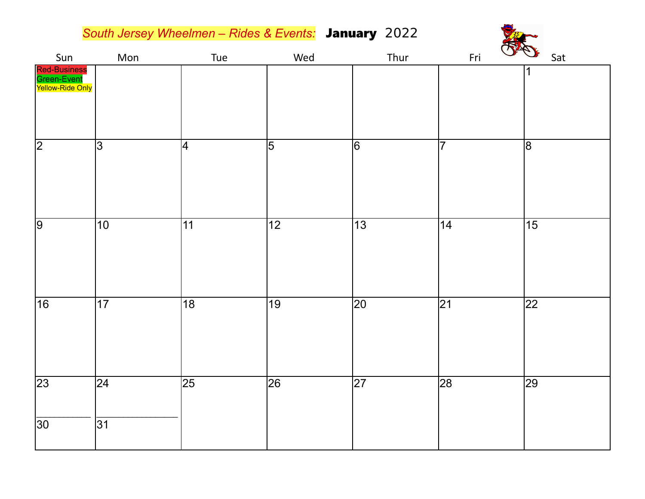*South Jersey Wheelmen – Rides & Events:* January 2022

| Sun                                             | Mon                         | Tue             | Wed             | Thur            | Fri<br>$\vee$   | Sat             |
|-------------------------------------------------|-----------------------------|-----------------|-----------------|-----------------|-----------------|-----------------|
| Red-Business<br>Green-Event<br>Yellow-Ride Only |                             |                 |                 |                 |                 | 1               |
| $\sqrt{2}$                                      | $\overline{ \mathfrak{S} }$ | 4               | $\overline{5}$  | $\overline{6}$  | $\overline{7}$  | $\overline{8}$  |
| $\overline{9}$                                  | 10                          | 11              | $\overline{12}$ | $\overline{13}$ | 14              | $\overline{15}$ |
| $\overline{16}$                                 | $\overline{17}$             | $\overline{18}$ | $\overline{19}$ | $\overline{20}$ | $\overline{21}$ | $\overline{22}$ |
| $\overline{23}$                                 | $\overline{24}$             | $\overline{25}$ | $\overline{26}$ | $\overline{27}$ | 28              | 29              |
| 30 <sup>2</sup>                                 | $\overline{31}$             |                 |                 |                 |                 |                 |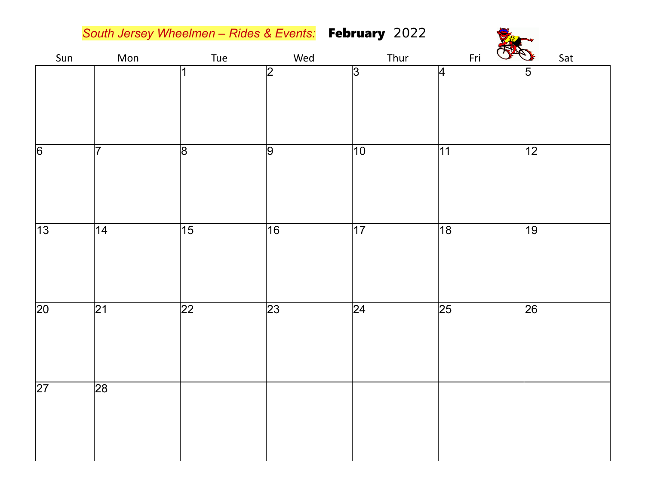*South Jersey Wheelmen – Rides & Events:* February 2022

| Sun             | Mon             | Tue             | $Wed$           | Thur            | Colem<br>Fri    | Sat             |
|-----------------|-----------------|-----------------|-----------------|-----------------|-----------------|-----------------|
|                 |                 | $\mathbf 1$     | $\overline{2}$  | $\overline{3}$  | 4               | 5               |
| $\overline{6}$  | $\overline{7}$  | $\overline{8}$  | $\overline{9}$  | $\overline{10}$ | $\overline{11}$ | $\sqrt{12}$     |
| $\overline{13}$ | $\overline{14}$ | $\overline{15}$ | $\overline{16}$ | $\overline{17}$ | $\overline{18}$ | $\overline{19}$ |
| $\overline{20}$ | $\overline{21}$ | $\overline{22}$ | $\overline{23}$ | $\overline{24}$ | $\overline{25}$ | $\overline{26}$ |
| $\overline{27}$ | $\overline{28}$ |                 |                 |                 |                 |                 |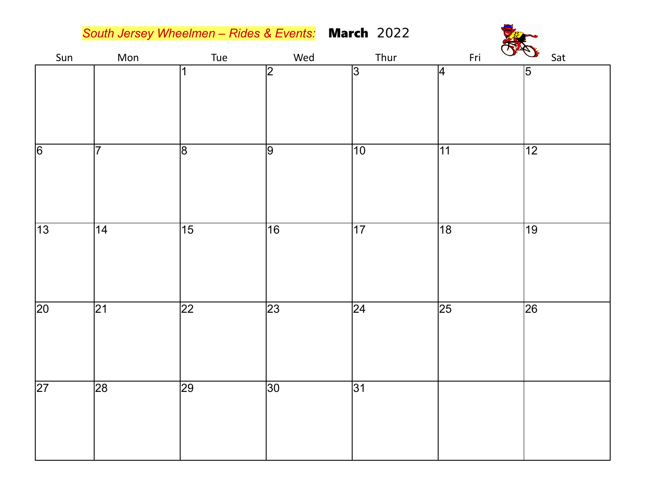*South Jersey Wheelmen – Rides & Events:* March 2022

| Sun             | Mon             | Tue             | Wed             | Thur            | Fri             | $Q^*$           |
|-----------------|-----------------|-----------------|-----------------|-----------------|-----------------|-----------------|
|                 |                 | 1               | 2               | 3               | 4               | 5               |
| $\sqrt{6}$      | $\overline{7}$  | $\overline{8}$  | 9               | $\overline{10}$ | 11              | $\overline{12}$ |
| $\overline{13}$ | 14              | $\overline{15}$ | $\overline{16}$ | $\overline{17}$ | $\overline{18}$ | $\overline{19}$ |
| $\overline{20}$ | $\overline{21}$ | $\overline{22}$ | $\overline{23}$ | $\overline{24}$ | $\overline{25}$ | $\overline{26}$ |
| $\overline{27}$ | 28              | 29              | $\overline{30}$ | $\overline{31}$ |                 |                 |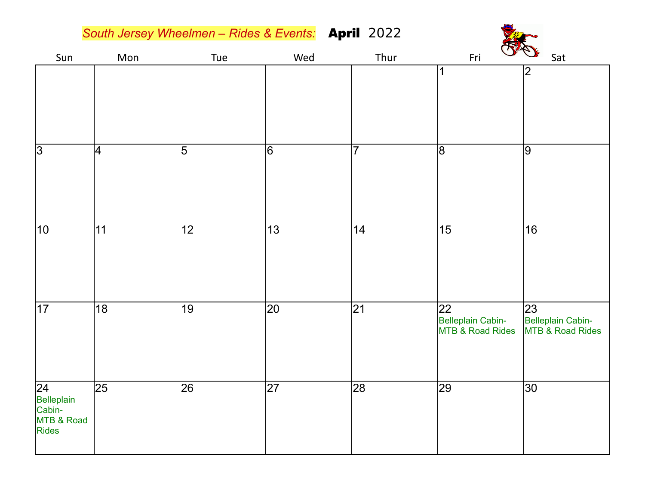*South Jersey Wheelmen – Rides & Events:* April 2022

| Sun                                                        | Mon             | Tue             | Wed             | Thur            | and<br>Fri                                            | Sat                                         |
|------------------------------------------------------------|-----------------|-----------------|-----------------|-----------------|-------------------------------------------------------|---------------------------------------------|
|                                                            |                 |                 |                 |                 | 1                                                     | 2                                           |
| $\overline{3}$                                             | 4               | $\overline{5}$  | $\overline{6}$  | $\overline{7}$  | $\overline{8}$                                        | 9                                           |
| $\overline{10}$                                            | 11              | $\overline{12}$ | $\overline{13}$ | 14              | $\overline{15}$                                       | $\overline{16}$                             |
| $\overline{17}$                                            | $\overline{18}$ | 19              | $\overline{20}$ | $\overline{21}$ | $ 22\rangle$<br>Belleplain Cabin-<br>MTB & Road Rides | 23<br>Belleplain Cabin-<br>MTB & Road Rides |
| $\sqrt{24}$<br>Belleplain<br>Cabin-<br>MTB & Road<br>Rides | 25              | 26              | 27              | $\overline{28}$ | $ 29\rangle$                                          | $ 30\rangle$                                |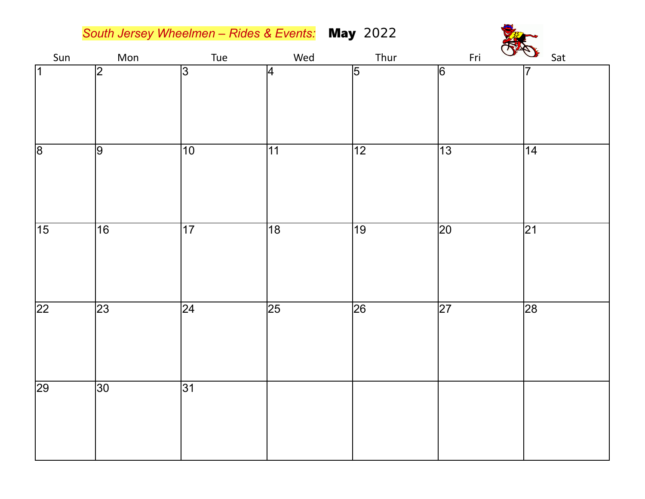*South Jersey Wheelmen – Rides & Events:* May 2022



| Sun             | Mon             | Tue             | Wed             | Thur            | Fri<br>$\sqrt{2}$ | Sat             |
|-----------------|-----------------|-----------------|-----------------|-----------------|-------------------|-----------------|
| $\overline{1}$  | $\overline{2}$  | $\overline{3}$  | 4               | $\overline{5}$  | $\overline{6}$    | 7               |
| $\overline{8}$  | $\overline{9}$  | $\overline{10}$ | 11              | $\overline{12}$ | $\overline{13}$   | $\overline{14}$ |
| $\overline{15}$ | $\overline{16}$ | $\overline{17}$ | $\overline{18}$ | $\overline{19}$ | $\overline{20}$   | $\overline{21}$ |
| $\overline{22}$ | $\overline{23}$ | $\overline{24}$ | $\overline{25}$ | $\overline{26}$ | $\overline{27}$   | 28              |
| $\overline{29}$ | $\overline{30}$ | $\overline{31}$ |                 |                 |                   |                 |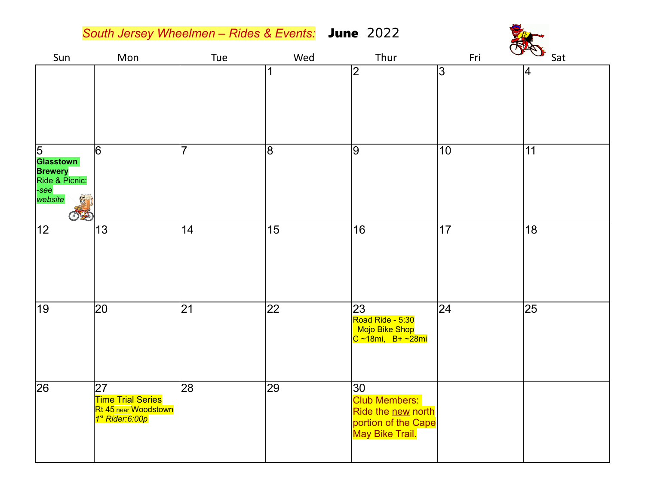|                                                                                    | South Jersey Wheelmen - Rides & Events: June 2022                                     |                |                 |                                                                                            |     |                 |
|------------------------------------------------------------------------------------|---------------------------------------------------------------------------------------|----------------|-----------------|--------------------------------------------------------------------------------------------|-----|-----------------|
| Sun                                                                                | Mon                                                                                   | Tue            | Wed             | Thur                                                                                       | Fri | Sat             |
|                                                                                    |                                                                                       |                | 1               | $\overline{2}$                                                                             | 3   | 4               |
| 5<br><b>Glasstown</b><br><b>Brewery</b><br>Ride & Picnic:<br>-see<br>website<br>小手 | 6                                                                                     | $\overline{7}$ | 8               | 9                                                                                          | 10  | 11              |
| 12                                                                                 | 13                                                                                    | 14             | 15              | 16                                                                                         | 17  | $\overline{18}$ |
| 19                                                                                 | 20                                                                                    | 21             | $\overline{22}$ | 23<br>Road Ride - 5:30<br><b>Mojo Bike Shop</b><br>$C \sim 18$ mi, B+ ~28mi                | 24  | 25              |
| 26                                                                                 | 27<br><b>Time Trial Series</b><br>Rt 45 near Woodstown<br>1 <sup>st</sup> Rider:6:00p | 28             | 29              | 30<br><b>Club Members:</b><br>Ride the new north<br>portion of the Cape<br>May Bike Trail. |     |                 |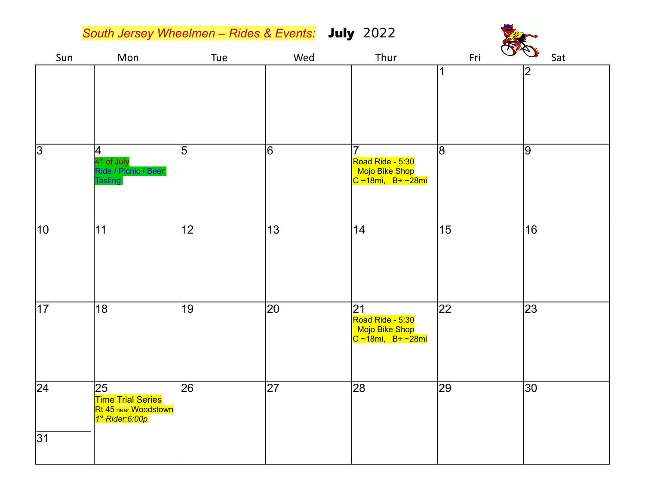*South Jersey Wheelmen – Rides & Events:* July 2022

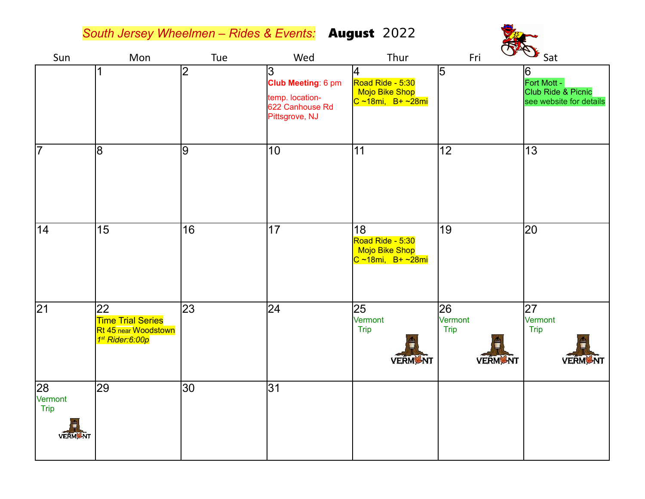*South Jersey Wheelmen – Rides & Events:* August 2022



| Sun                                     | Mon                                                                                    | Tue             | Wed                                                                             | Thur                                                                       | Fri                                            | $\sim$ Sat                                                                   |
|-----------------------------------------|----------------------------------------------------------------------------------------|-----------------|---------------------------------------------------------------------------------|----------------------------------------------------------------------------|------------------------------------------------|------------------------------------------------------------------------------|
|                                         |                                                                                        | $\overline{2}$  | 3<br>Club Meeting: 6 pm<br>temp. location-<br>622 Canhouse Rd<br>Pittsgrove, NJ | 4<br>Road Ride - 5:30<br>Mojo Bike Shop<br><mark>C ~18mi, B+ ~28mi</mark>  | 5                                              | 6<br>Fort Mott -<br><b>Club Ride &amp; Picnic</b><br>see website for details |
| $\overline{7}$                          | $\overline{8}$                                                                         | 9               | $\overline{10}$                                                                 | 11                                                                         | $\overline{12}$                                | $\overline{13}$                                                              |
| 14                                      | 15                                                                                     | 16              | 17                                                                              | 18<br>Road Ride - 5:30<br>Mojo Bike Shop<br><mark>C ~18mi, B+ ~28mi</mark> | 19                                             | 20                                                                           |
| $\overline{21}$                         | 22<br><b>Time Trial Series</b><br>Rt 45 near Woodstown<br>1 <sup>st</sup> Rider: 6:00p | 23              | 24                                                                              | 25<br>Vermont<br>Trip<br><b>VERMONT</b>                                    | 26<br>Vermont<br><b>Trip</b><br><b>VERMONT</b> | 27<br>Vermont<br>Trip<br><b>VERMANT</b>                                      |
| 28<br>Vermont<br>Trip<br><b>VERM</b> NT | 29                                                                                     | 30 <sub>o</sub> | 31                                                                              |                                                                            |                                                |                                                                              |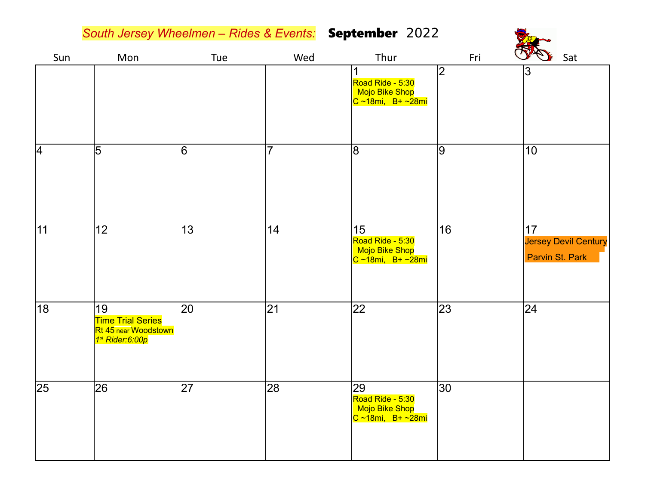*South Jersey Wheelmen – Rides & Events:* September 2022

 $\sqrt{18}$ 

| Sun | Mon                                                                                   | Tue | Wed             | Thur                                                                 | Fri             | <b>RAD</b> Sat                                       |
|-----|---------------------------------------------------------------------------------------|-----|-----------------|----------------------------------------------------------------------|-----------------|------------------------------------------------------|
|     |                                                                                       |     |                 | Road Ride - 5:30<br>Mojo Bike Shop<br><mark>C ~18mi, B+ ~28mi</mark> | $\overline{2}$  | 3                                                    |
| 4   | $\overline{5}$                                                                        | 16  | $\overline{7}$  | 8                                                                    | 9               | 10                                                   |
| 11  | 12                                                                                    | 13  | 14              | 15<br>Road Ride - 5:30<br>Mojo Bike Shop<br>$ C - 18mi, B+ -28mi$    | 16              | 17<br><b>Jersey Devil Century</b><br>Parvin St. Park |
| 18  | 19<br><b>Time Trial Series</b><br>Rt 45 near Woodstown<br>1 <sup>st</sup> Rider:6:00p | 20  | $\overline{21}$ | 22                                                                   | $\overline{23}$ | 24                                                   |
| 25  | 26                                                                                    | 27  | 28              | 29<br>Road Ride - 5:30<br>Mojo Bike Shop<br>$ C - 18mi, B+ -28mi$    | 30              |                                                      |

VE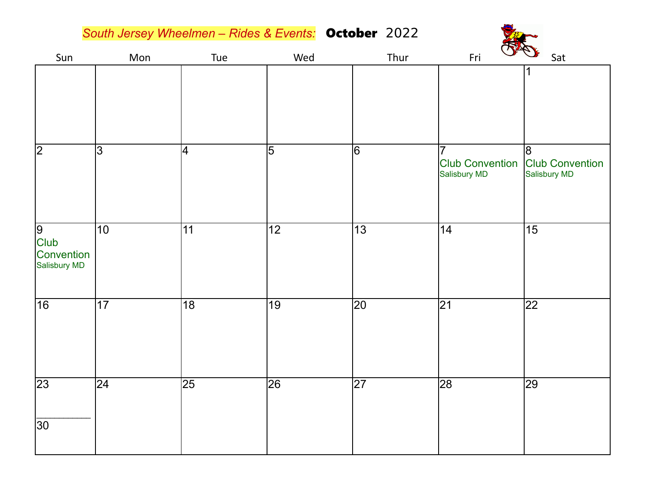*South Jersey Wheelmen – Rides & Events:* October 2022



| Sun                                            | Mon             | Tue                      | Wed             | Thur            | Fri<br>$\vee$                               | Sat                                         |
|------------------------------------------------|-----------------|--------------------------|-----------------|-----------------|---------------------------------------------|---------------------------------------------|
|                                                |                 |                          |                 |                 |                                             | 1                                           |
| $\sqrt{2}$                                     | $\overline{3}$  | $\overline{\mathcal{A}}$ | $\overline{5}$  | $\overline{6}$  | 7<br><b>Club Convention</b><br>Salisbury MD | 8<br><b>Club Convention</b><br>Salisbury MD |
| $\frac{9}{$ Club<br>Convention<br>Salisbury MD | 10              | 11                       | $\overline{12}$ | 13              | 14                                          | $\overline{15}$                             |
| 16                                             | $\overline{17}$ | $\overline{18}$          | $\overline{19}$ | $ 20\rangle$    | $\overline{21}$                             | $\overline{22}$                             |
| $\overline{23}$                                | $ 24\rangle$    | $\overline{25}$          | 26              | $\overline{27}$ | $\overline{28}$                             | $\overline{29}$                             |
| $\overline{30}$                                |                 |                          |                 |                 |                                             |                                             |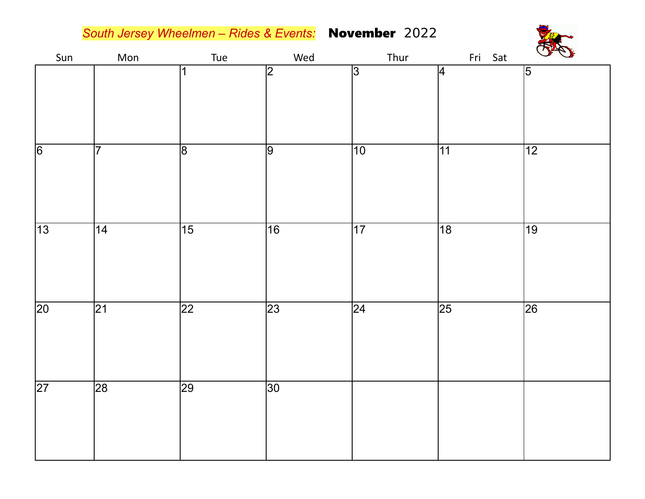*South Jersey Wheelmen – Rides & Events:* November 2022



| Sun             | Mon             | Tue             | Wed             | Thur            | Fri Sat         | <b>CA</b>       |
|-----------------|-----------------|-----------------|-----------------|-----------------|-----------------|-----------------|
|                 |                 | 1               | $\overline{2}$  | $\overline{3}$  | 4               | $\overline{5}$  |
|                 |                 |                 |                 |                 |                 |                 |
|                 |                 |                 |                 |                 |                 |                 |
| $\overline{6}$  | $\overline{7}$  | $\overline{8}$  | $\overline{9}$  | $\overline{10}$ | $\overline{11}$ | $\overline{12}$ |
|                 |                 |                 |                 |                 |                 |                 |
|                 |                 |                 |                 |                 |                 |                 |
| $\overline{13}$ | $\overline{14}$ | $\overline{15}$ | $\overline{16}$ | $\overline{17}$ | $\overline{18}$ | $\overline{19}$ |
|                 |                 |                 |                 |                 |                 |                 |
|                 |                 |                 |                 |                 |                 |                 |
| $\overline{20}$ | $\overline{21}$ | $\overline{22}$ | $\overline{23}$ | $\overline{24}$ | $\overline{25}$ | $\overline{26}$ |
|                 |                 |                 |                 |                 |                 |                 |
|                 |                 |                 |                 |                 |                 |                 |
| $\overline{27}$ | 28              | 29              | $\overline{30}$ |                 |                 |                 |
|                 |                 |                 |                 |                 |                 |                 |
|                 |                 |                 |                 |                 |                 |                 |
|                 |                 |                 |                 |                 |                 |                 |